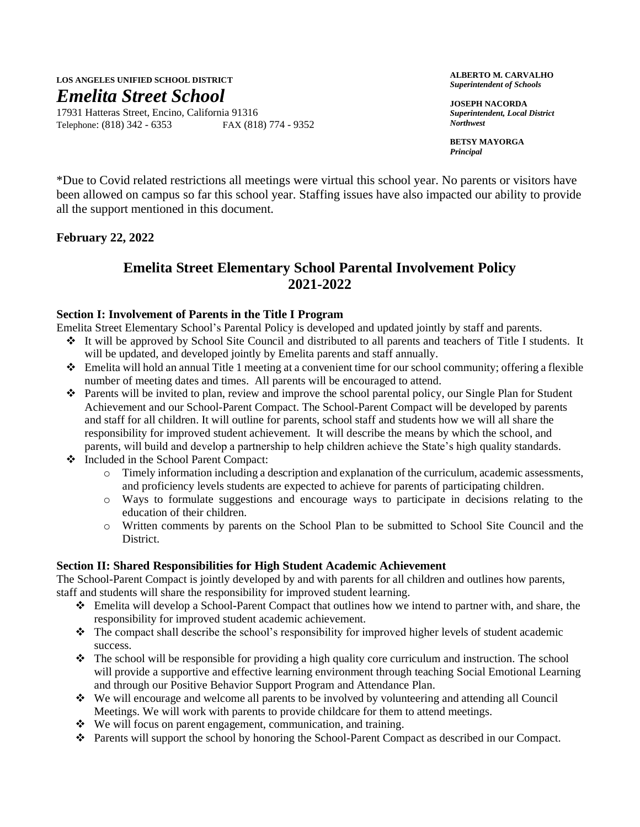# **LOS ANGELES UNIFIED SCHOOL DISTRICT** *Emelita Street School*

17931 Hatteras Street, Encino, California 91316 Telephone: (818) 342 - 6353 FAX (818) 774 - 9352

**ALBERTO M. CARVALHO** *Superintendent of Schools*

**JOSEPH NACORDA** *Superintendent, Local District Northwest*

**BETSY MAYORGA** *Principal*

\*Due to Covid related restrictions all meetings were virtual this school year. No parents or visitors have been allowed on campus so far this school year. Staffing issues have also impacted our ability to provide all the support mentioned in this document.

**February 22, 2022**

# **Emelita Street Elementary School Parental Involvement Policy 2021-2022**

#### **Section I: Involvement of Parents in the Title I Program**

Emelita Street Elementary School's Parental Policy is developed and updated jointly by staff and parents.

- ❖ It will be approved by School Site Council and distributed to all parents and teachers of Title I students. It will be updated, and developed jointly by Emelita parents and staff annually.
- ❖ Emelita will hold an annual Title 1 meeting at a convenient time for our school community; offering a flexible number of meeting dates and times. All parents will be encouraged to attend.
- ❖ Parents will be invited to plan, review and improve the school parental policy, our Single Plan for Student Achievement and our School-Parent Compact. The School-Parent Compact will be developed by parents and staff for all children. It will outline for parents, school staff and students how we will all share the responsibility for improved student achievement. It will describe the means by which the school, and parents, will build and develop a partnership to help children achieve the State's high quality standards.
- ❖ Included in the School Parent Compact:
	- $\circ$  Timely information including a description and explanation of the curriculum, academic assessments, and proficiency levels students are expected to achieve for parents of participating children.
	- o Ways to formulate suggestions and encourage ways to participate in decisions relating to the education of their children.
	- o Written comments by parents on the School Plan to be submitted to School Site Council and the District.

### **Section II: Shared Responsibilities for High Student Academic Achievement**

The School-Parent Compact is jointly developed by and with parents for all children and outlines how parents, staff and students will share the responsibility for improved student learning.

- ❖ Emelita will develop a School-Parent Compact that outlines how we intend to partner with, and share, the responsibility for improved student academic achievement.
- ❖ The compact shall describe the school's responsibility for improved higher levels of student academic success.
- ❖ The school will be responsible for providing a high quality core curriculum and instruction. The school will provide a supportive and effective learning environment through teaching Social Emotional Learning and through our Positive Behavior Support Program and Attendance Plan.
- ❖ We will encourage and welcome all parents to be involved by volunteering and attending all Council Meetings. We will work with parents to provide childcare for them to attend meetings.
- ❖ We will focus on parent engagement, communication, and training.
- ❖ Parents will support the school by honoring the School-Parent Compact as described in our Compact.